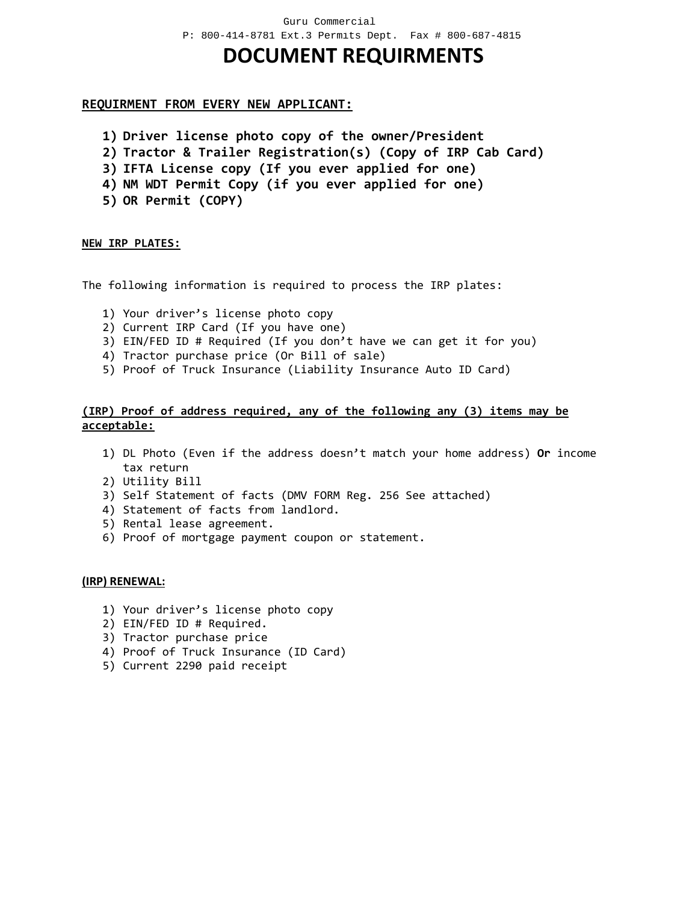## **DOCUMENT REQUIRMENTS**

### **REQUIRMENT FROM EVERY NEW APPLICANT:**

- **1) Driver license photo copy of the owner/President**
- **2) Tractor & Trailer Registration(s) (Copy of IRP Cab Card)**
- **3) IFTA License copy (If you ever applied for one)**
- **4) NM WDT Permit Copy (if you ever applied for one)**
- **5) OR Permit (COPY)**

#### **NEW IRP PLATES:**

The following information is required to process the IRP plates:

- 1) Your driver's license photo copy
- 2) Current IRP Card (If you have one)
- 3) EIN/FED ID # Required (If you don't have we can get it for you)
- 4) Tractor purchase price (Or Bill of sale)
- 5) Proof of Truck Insurance (Liability Insurance Auto ID Card)

#### **(IRP) Proof of address required, any of the following any (3) items may be acceptable:**

- 1) DL Photo (Even if the address doesn't match your home address) **Or** income tax return
- 2) Utility Bill
- 3) Self Statement of facts (DMV FORM Reg. 256 See attached)
- 4) Statement of facts from landlord.
- 5) Rental lease agreement.
- 6) Proof of mortgage payment coupon or statement.

#### **(IRP) RENEWAL:**

- 1) Your driver's license photo copy
- 2) EIN/FED ID # Required.
- 3) Tractor purchase price
- 4) Proof of Truck Insurance (ID Card)
- 5) Current 2290 paid receipt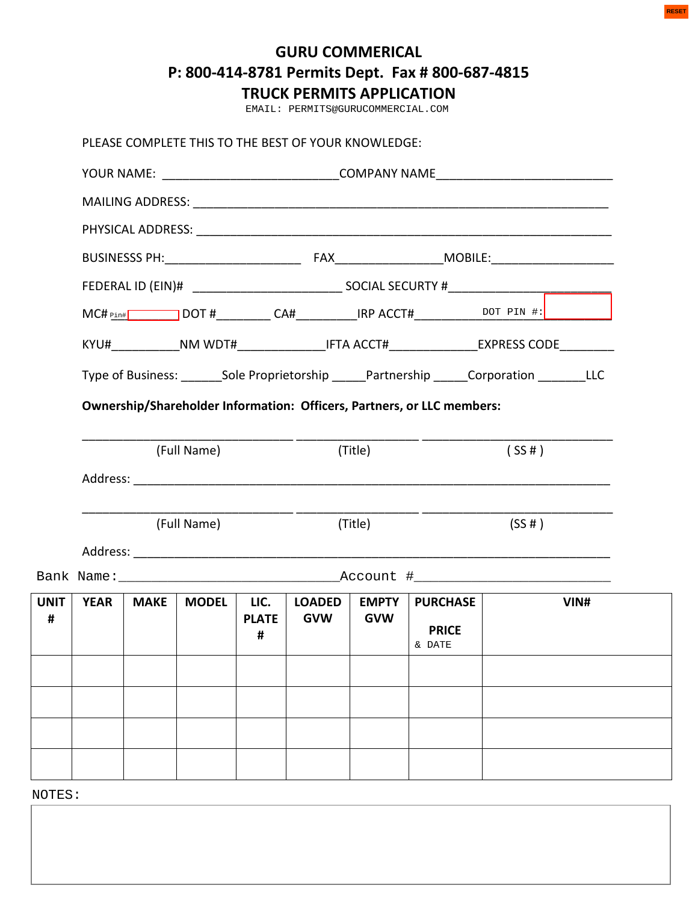# **GURU COMMERICAL P: 800-414-8781 Permits Dept. Fax # 800-687-4815**

|                  |             |             |              |                           | EMAIL: PERMITS@GURUCOMMERCIAL.COM                   |                            |                                                                                             |                                                                                              |      |
|------------------|-------------|-------------|--------------|---------------------------|-----------------------------------------------------|----------------------------|---------------------------------------------------------------------------------------------|----------------------------------------------------------------------------------------------|------|
|                  |             |             |              |                           | PLEASE COMPLETE THIS TO THE BEST OF YOUR KNOWLEDGE: |                            |                                                                                             |                                                                                              |      |
|                  |             |             |              |                           |                                                     |                            |                                                                                             | YOUR NAME: __________________________________COMPANY NAME_______________________             |      |
|                  |             |             |              |                           |                                                     |                            |                                                                                             |                                                                                              |      |
|                  |             |             |              |                           |                                                     |                            |                                                                                             |                                                                                              |      |
|                  |             |             |              |                           |                                                     |                            |                                                                                             |                                                                                              |      |
|                  |             |             |              |                           |                                                     |                            |                                                                                             |                                                                                              |      |
|                  |             |             |              |                           |                                                     |                            |                                                                                             |                                                                                              |      |
|                  |             |             |              |                           |                                                     |                            | KYU#_____________NM_WDT#__________________IFTA_ACCT#_________________EXPRESS_CODE__________ |                                                                                              |      |
|                  |             |             |              |                           |                                                     |                            |                                                                                             |                                                                                              |      |
|                  |             |             |              |                           |                                                     |                            | Ownership/Shareholder Information: Officers, Partners, or LLC members:                      | Type of Business: _______Sole Proprietorship ______Partnership ______Corporation ________LLC |      |
|                  |             |             | (Full Name)  |                           |                                                     | (Title)                    |                                                                                             | (SS#)                                                                                        |      |
|                  |             |             |              |                           | (Full Name) (Title)                                 |                            |                                                                                             | $(SS \# )$                                                                                   |      |
|                  |             |             |              |                           |                                                     |                            |                                                                                             |                                                                                              |      |
| <b>UNIT</b><br># | <b>YEAR</b> | <b>MAKE</b> | <b>MODEL</b> | LIC.<br><b>PLATE</b><br># | <b>LOADED</b><br><b>GVW</b>                         | <b>EMPTY</b><br><b>GVW</b> | <b>PURCHASE</b><br><b>PRICE</b><br>& DATE                                                   |                                                                                              | VIN# |
|                  |             |             |              |                           |                                                     |                            |                                                                                             |                                                                                              |      |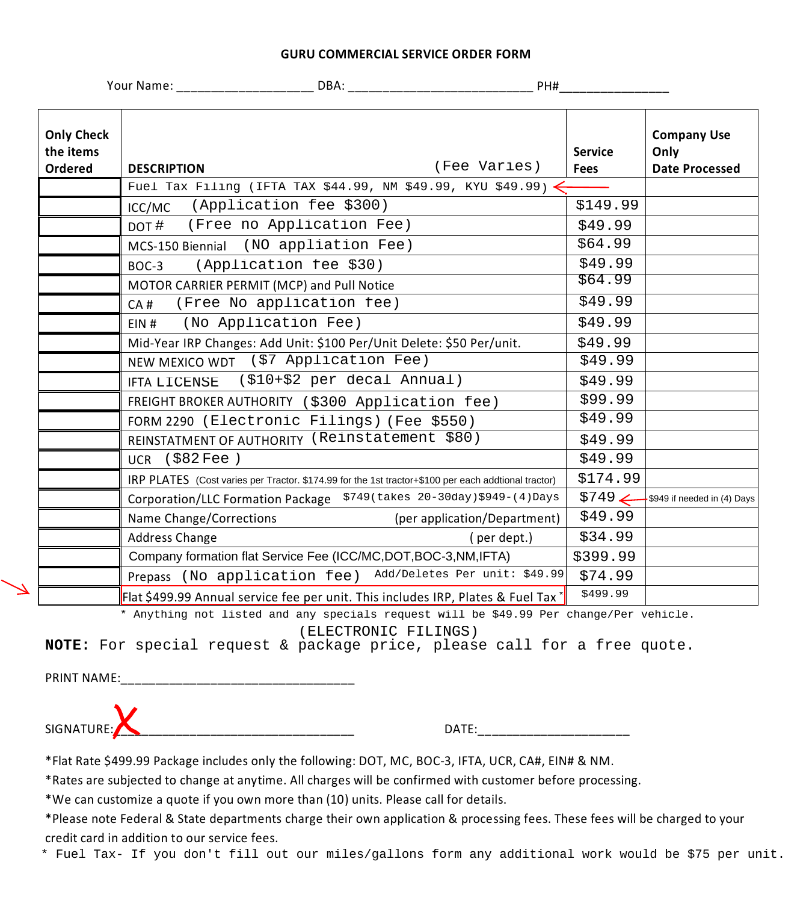#### **GURU COMMERCIAL SERVICE ORDER FORM**

|                                           | Your Name: Name: Name Service School and Name School and Name School and Name School and Name School and Name School and Name School and Name School and Name School and Name School and Name School and Name School and Name | DBA: ________________                                                                                                                                                                      | PH#                           |                                                     |
|-------------------------------------------|-------------------------------------------------------------------------------------------------------------------------------------------------------------------------------------------------------------------------------|--------------------------------------------------------------------------------------------------------------------------------------------------------------------------------------------|-------------------------------|-----------------------------------------------------|
| <b>Only Check</b><br>the items<br>Ordered | <b>DESCRIPTION</b>                                                                                                                                                                                                            | (Fee Varies)                                                                                                                                                                               | <b>Service</b><br><b>Fees</b> | <b>Company Use</b><br>Only<br><b>Date Processed</b> |
|                                           |                                                                                                                                                                                                                               | Fuel Tax Filing (IFTA TAX \$44.99, NM \$49.99, KYU \$49.99)                                                                                                                                |                               |                                                     |
|                                           | (Application fee \$300)<br>ICC/MC                                                                                                                                                                                             |                                                                                                                                                                                            | \$149.99                      |                                                     |
|                                           | (Free no Application Fee)<br>DOT #                                                                                                                                                                                            |                                                                                                                                                                                            | \$49.99                       |                                                     |
|                                           | MCS-150 Biennial                                                                                                                                                                                                              | (NO appliation Fee)                                                                                                                                                                        | \$64.99                       |                                                     |
|                                           | (Application fee \$30)<br>BOC-3                                                                                                                                                                                               |                                                                                                                                                                                            | \$49.99                       |                                                     |
|                                           | MOTOR CARRIER PERMIT (MCP) and Pull Notice                                                                                                                                                                                    |                                                                                                                                                                                            | \$64.99                       |                                                     |
|                                           | (Free No application fee)<br>CA#                                                                                                                                                                                              |                                                                                                                                                                                            | \$49.99                       |                                                     |
|                                           | (No Application Fee)<br>$EIN$ #                                                                                                                                                                                               |                                                                                                                                                                                            | \$49.99                       |                                                     |
|                                           |                                                                                                                                                                                                                               | Mid-Year IRP Changes: Add Unit: \$100 Per/Unit Delete: \$50 Per/unit.                                                                                                                      | \$49.99                       |                                                     |
|                                           | NEW MEXICO WDT (\$7 Application Fee)                                                                                                                                                                                          |                                                                                                                                                                                            | \$49.99                       |                                                     |
|                                           | <b>IFTA LICENSE</b>                                                                                                                                                                                                           | (\$10+\$2 per decal Annual)                                                                                                                                                                | \$49.99                       |                                                     |
|                                           |                                                                                                                                                                                                                               | FREIGHT BROKER AUTHORITY (\$300 Application fee)                                                                                                                                           | \$99.99                       |                                                     |
|                                           | FORM 2290 (Electronic Filings) (Fee \$550)                                                                                                                                                                                    |                                                                                                                                                                                            | \$49.99                       |                                                     |
|                                           | REINSTATMENT OF AUTHORITY (Reinstatement \$80)                                                                                                                                                                                |                                                                                                                                                                                            | \$49.99                       |                                                     |
|                                           | $UCR$ (\$82 Fee)                                                                                                                                                                                                              |                                                                                                                                                                                            | \$49.99                       |                                                     |
|                                           |                                                                                                                                                                                                                               | IRP PLATES (Cost varies per Tractor. \$174.99 for the 1st tractor+\$100 per each addtional tractor)                                                                                        | \$174.99                      |                                                     |
|                                           |                                                                                                                                                                                                                               | Corporation/LLC Formation Package \$749 (takes 20-30day) \$949-(4) Days                                                                                                                    | $$749 \leftarrow$             | \$949 if needed in (4) Days                         |
|                                           | Name Change/Corrections                                                                                                                                                                                                       | (per application/Department)                                                                                                                                                               | \$49.99                       |                                                     |
|                                           | Address Change                                                                                                                                                                                                                | (per dept.)                                                                                                                                                                                | \$34.99                       |                                                     |
|                                           |                                                                                                                                                                                                                               | Company formation flat Service Fee (ICC/MC, DOT, BOC-3, NM, IFTA)                                                                                                                          | \$399.99                      |                                                     |
|                                           |                                                                                                                                                                                                                               | Prepass (No application fee) Add/Deletes Per unit: \$49.99                                                                                                                                 | \$74.99                       |                                                     |
|                                           |                                                                                                                                                                                                                               | Flat \$499.99 Annual service fee per unit. This includes IRP, Plates & Fuel Tax *                                                                                                          | \$499.99                      |                                                     |
|                                           |                                                                                                                                                                                                                               | * Anything not listed and any specials request will be \$49.99 Per change/Per vehicle.<br>(ELECTRONIC FILINGS)<br>NOTE: For special request & package price, please call for a free quote. |                               |                                                     |
| PRINT NAME:                               |                                                                                                                                                                                                                               |                                                                                                                                                                                            |                               |                                                     |
|                                           |                                                                                                                                                                                                                               |                                                                                                                                                                                            |                               |                                                     |
| SIGNATURE:                                |                                                                                                                                                                                                                               |                                                                                                                                                                                            |                               |                                                     |
|                                           |                                                                                                                                                                                                                               | *Flat Rate \$499.99 Package includes only the following: DOT, MC, BOC-3, IFTA, UCR, CA#, EIN# & NM.                                                                                        |                               |                                                     |
|                                           |                                                                                                                                                                                                                               | *Rates are subjected to change at anytime. All charges will be confirmed with customer before processing.                                                                                  |                               |                                                     |
|                                           |                                                                                                                                                                                                                               | *We can customize a quote if you own more than (10) units. Please call for details.                                                                                                        |                               |                                                     |
|                                           |                                                                                                                                                                                                                               | *Please note Federal & State departments charge their own application & processing fees. These fees will be charged to your                                                                |                               |                                                     |
|                                           | credit card in addition to our service fees.                                                                                                                                                                                  |                                                                                                                                                                                            |                               |                                                     |
|                                           |                                                                                                                                                                                                                               | * Fuel Tax- If you don't fill out our miles/gallons form any additional work would be \$75 per unit.                                                                                       |                               |                                                     |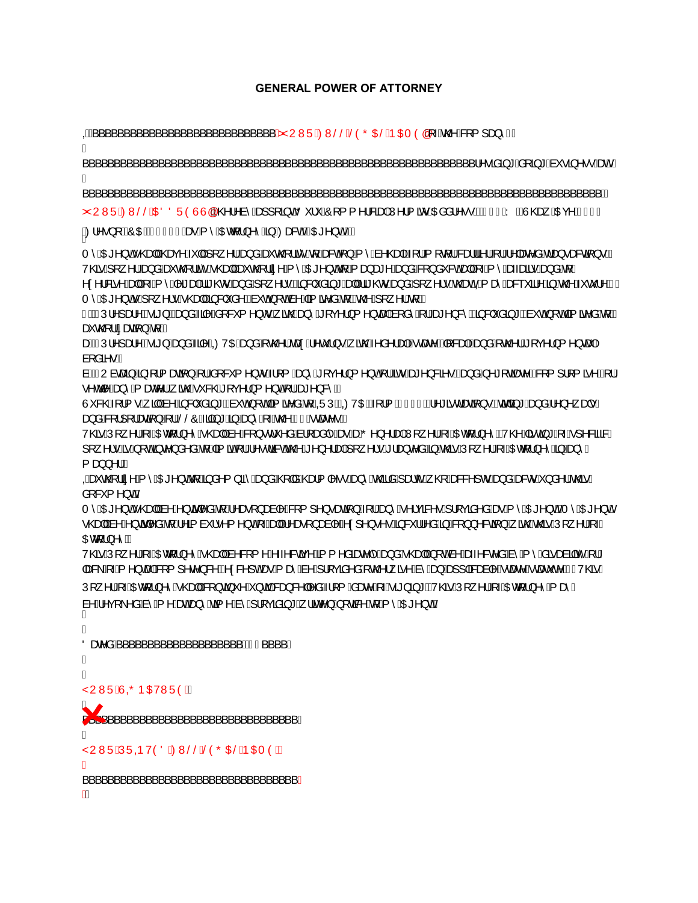### **GENERAL POWER OF ATTORNEY**

omethoridation of the south of the south of the south of the south of the south of the south of the south of the south of the south of the south of the south of the south of the south of the south of the south of the south Á BBBBBBBBBBBBBBBBBBBBBBBBBBBBBBBBBBBBBBBBBBBBBBBBBBBBBBBBBBBBBBUHVLGLQJGRLQJEXVLQHVVDW Á BBBBBBBBBBBBBBBBBBBBBBBBBBBBBBBBBBBBBBBBBBBBBBBBBBBBBBBBBBBBBBBBBBBBBBBBBBBBBBBBBB ZYUWÜÁZWŠŠÁDEÖÖÜÒÙÙÐÉKZY^à^ÁBE][ādŐY¦'ÁÔ[{{^¦&ãBAÚ^¦{ãoÁDãå¦^••KÁMÍFÎÁYBÄÙ@eqÁDEç^ÁAG€€  $\bigotimes$  (21 ^ .) [BEO OBOUHI EI Asse A ^ ADEQ : } ^ ^ EB EEZER SOARCE ^ } OF DEA T^ÁOE^}oÁ^@eoHÁ@eq^ÁY||Á|[,^¦Áeo}åÁeŏo@¦¦ãc^Áq{ÁeaSoÁ{}Á{^Áa^@eo}Áq{¦Á{[q'¦Áseo¦¦ãl¦Á{\|æc^åÁdao}•æSoã{}•ÈÁ V@Aj[\^¦Ábe}åÁbeŏQQ¦lãCÁQede|ÁbeŏcQl¦ã^Á{^ÁDE^}cÁd{Á{æ}æt^Ábe}åÁ&{}å~&oÓbed|Á{-Á{^Ábe-æãl•Ábe}åÁd{Á ^¢^¦&ã^Áæµ|Áj-Áj^Á^\*æþÁã†@orÁæ}åÁj[¸^¦●ÉÁ§}&|ˇåã}\*ÁæqµÁã†@orÁæ}åÁj[¸^¦●Áœ@eonÓQÁjæĉ>ã^Á§jÁc@Á\*c\*¦^ĚÁÁ T^AOL\*^}oGA|¸^¦∙A©ea†A§&|`å^E&n`oA|oAn^Aã{ãc^åA{E&©^A|¸^¦A{K FÈÁÁÚ¦^]æ}^ÉÁrã}Éáa}åÁa}^Ás[&´{^}orÁ,ão@Áaa}^Á\*[ç^¦}{^}caaþÁs[å^Á{¦Áae\*^}&^Éáa}&|ĭåa}\*ÉásĭcÁ;[oÁa]ãe^åÁq{ÉÁ  $\widetilde{\mathcal{B}}$   $\widetilde{\mathcal{B}}$   $\widetilde{\mathcal{B}}$   $\widetilde{\mathcal{B}}$   $\widetilde{\mathcal{B}}$   $\widetilde{\mathcal{B}}$   $\widetilde{\mathcal{B}}$   $\widetilde{\mathcal{B}}$ aab2ÁÚ¦^]aa^BÁã}Áaa}âÁa?^ÁQOVO báaa}âÁ;c@}Áea¢Á^c'¦}•Á;ãr@Á^â^¦aab¥mCaae^BÁj{&aabÉaaa}âÁ;c@}¦Áf[c^¦}{^}caabÁ à[åãM∙ÈÀ àÈÁNU àcana]Á§ -{¦{æaã}Á(¦Ás[&`{^}orÁ√{{Áaa}^Á\*[ç^¦}{^}on{¦ÁaorÁae\*^}&a^•Ézaa}åÁ,^\*[cãaez^Éz&{{]¦{ã^ÉÁ{¦Á  $\cdot$  ^  $\alpha$ <sup> $\wedge$ </sup> $\overline{A}$   $\rightarrow$   $\overline{A}$   $\rightarrow$   $\overline{A}$   $\rightarrow$   $\overline{A}$   $\rightarrow$   $\overline{A}$   $\rightarrow$   $\overline{A}$   $\rightarrow$   $\overline{A}$   $\rightarrow$   $\overline{A}$   $\rightarrow$   $\overline{A}$   $\rightarrow$   $\overline{A}$   $\rightarrow$   $\overline{A}$   $\rightarrow$   $\overline{A}$   $\rightarrow$   $\overline{A}$   $\rightarrow$   $\overline{A}$   $\rightarrow$   $\overline{A}$ Ù 8@4[¦ •Á, ā|kà^kāj&|`åāj\*BàĭcÁ, [cÁa]āz^åÁq{AQÜÚBÁQOVOLBÁq¦¦{AGGJ€BÁ∧\*ãrdænāj}•BÁsādā;\*Áæ)åÁ∧}^ æl+Á ag\åÁ&[¦][¦aseã[}Á[¦ÁŠŠÔÁãã}\*Á§}Áæ}^Á{→Ác@∧ÁlÀcæe^●ÈÁ V@AUI ^\A ADECI}^^A@eHAB^ASI}•cl`^åABilana|^AseAseAO^}^\apAUI ^\A ADECI}^^EV@AFaczi\*AFA|^8ãaBA ][ˌ^¦•Á§Á[ơ§βc^}å^åÁ{Á@{ã¤Á{¦Á^•dæcá@Á^}^¦æþÁ[ˌ^¦•Á¦æ}c^åÁ§Á@éÁÚ[ˌ^¦Á[~ÁŒq{¦}^^Á§Áæ}^Á {aa}}^¦BA Que contra A MOZA de la Bast de la Antigua de la Angelida Contra Angelia A angelia A Guessa to Angelia A de la  $\land$ [ $\&$  {  $\land$ } $\&$ T^ÁOE^}oÁv@eb|Áã^Á^}oã(våÁo{Á^æ∙[}æà|^Á&[{]^}●æaã})Á{¦Áæ}^Á^¦çã&^●Á¦¦çãã^åÁæeÁ{^ÁOE^}oÉAT^ÁOE^}oÁ •@eoHhâvAv}cãþvåAq{Ávã à l•^{^}ch{-AbdHAvaer[}aaà|^Avac]^}•^•A§& ll^åA§A&{}}^&aã}A{ão@Axo26rAÚ[ ^ lÁr-Á OEq[;}^^B V@5hÚ[ ^¦h[~ADEct]}^^h(@ep|há^&[{^h(~^&oã{^h{aj{^aãæ^|^hao}åh(@ep|h}[chà^heo-^&c^åhà^h{^^hàõ+caàqãô^h{|h |æ&\Ā,-Ă,^}cæþ&Q{]^c^}&^ÉA^c&^]oAse>Á, æŝÁa^Á}¦[çãa^åÁ,c@^¦,ã^Áa^Áao}Àaa}]|ā&æà|^Á∙cæc^Á∙cæc\*c^ÉAÁV@sÁ. Ú[ ^¦Á, ÁQGeql¦}^^Á∙@ea||ÁSql}ca}`^Á;}caþÁsea}&^||^åÁ-¦[{Áåæne^Á; Á∙ã\*}a}\*`ÉÀ/@6rÁÚ[ ^¦Á; ÁQGeql¦}^^Á; æê Á à^Á^ç[\^åÁa^Á{^ÁænÁæ}^Áa3{^Áa^Á}¦[çãa3}\*Á{¦ānz^}Á{[cā&^Áa{Á{^ÁOE^}dĂ Á ÖæråÁ<sup>'</sup>'''''A Á Á ŸUWÜÂJ@PŒ/WÜÒKÁ ١ BBBBBBBBBBBBBBBBBBBBBBBBBBBBBBBBBB Á ŸUWÜÁJÜQÞVÒÖÁRMŠŠÁŠÒÕŒIŠÁÞŒI ÒKÁ Á BBBBBBBBBBBBBBBBBBBBBBBBBBBBBBBBBB Á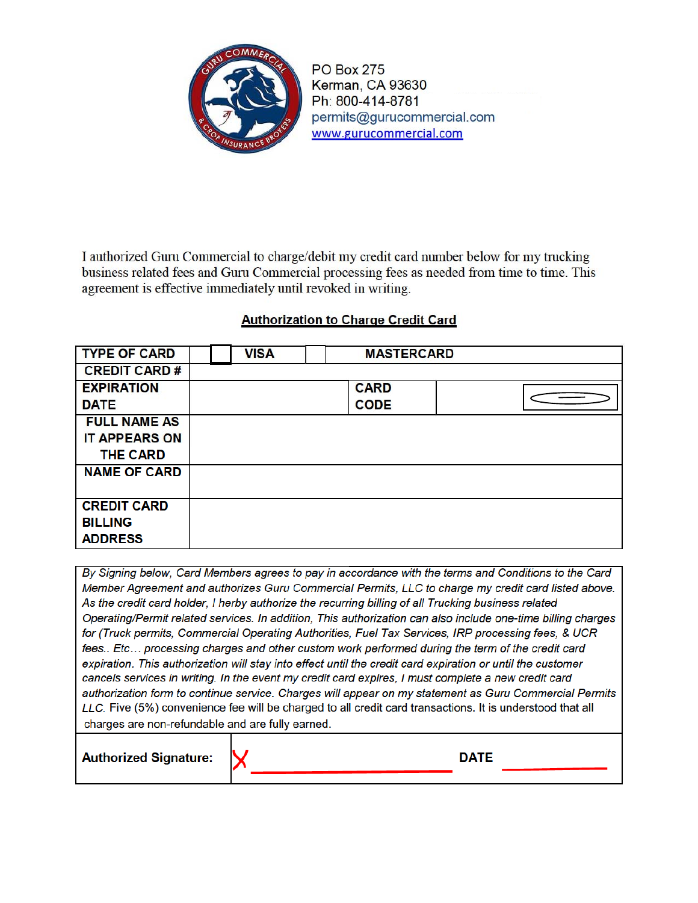

**PO Box 275** Kerman, CA 93630 Ph: 800-414-8781 permits@gurucommercial.com www.gurucommercial.com

I authorized Guru Commercial to charge/debit my credit card number below for my trucking business related fees and Guru Commercial processing fees as needed from time to time. This agreement is effective immediately until revoked in writing.

## **Authorization to Charge Credit Card**

| <b>TYPE OF CARD</b>  | <b>VISA</b> | <b>MASTERCARD</b> |  |
|----------------------|-------------|-------------------|--|
| <b>CREDIT CARD#</b>  |             |                   |  |
| <b>EXPIRATION</b>    |             | <b>CARD</b>       |  |
| <b>DATE</b>          |             | <b>CODE</b>       |  |
| <b>FULL NAME AS</b>  |             |                   |  |
| <b>IT APPEARS ON</b> |             |                   |  |
| <b>THE CARD</b>      |             |                   |  |
| <b>NAME OF CARD</b>  |             |                   |  |
|                      |             |                   |  |
| <b>CREDIT CARD</b>   |             |                   |  |
| <b>BILLING</b>       |             |                   |  |
| <b>ADDRESS</b>       |             |                   |  |

By Signing below, Card Members agrees to pay in accordance with the terms and Conditions to the Card Member Agreement and authorizes Guru Commercial Permits, LLC to charge my credit card listed above. As the credit card holder, I herby authorize the recurring billing of all Trucking business related Operating/Permit related services. In addition, This authorization can also include one-time billing charges for (Truck permits, Commercial Operating Authorities, Fuel Tax Services, IRP processing fees, & UCR fees.. Etc... processing charges and other custom work performed during the term of the credit card expiration. This authorization will stay into effect until the credit card expiration or until the customer cancels services in writing. In the event my credit card expires, I must complete a new credit card authorization form to continue service. Charges will appear on my statement as Guru Commercial Permits LLC. Five (5%) convenience fee will be charged to all credit card transactions. It is understood that all charges are non-refundable and are fully earned.

**Authorized Signature:** 

**DATE**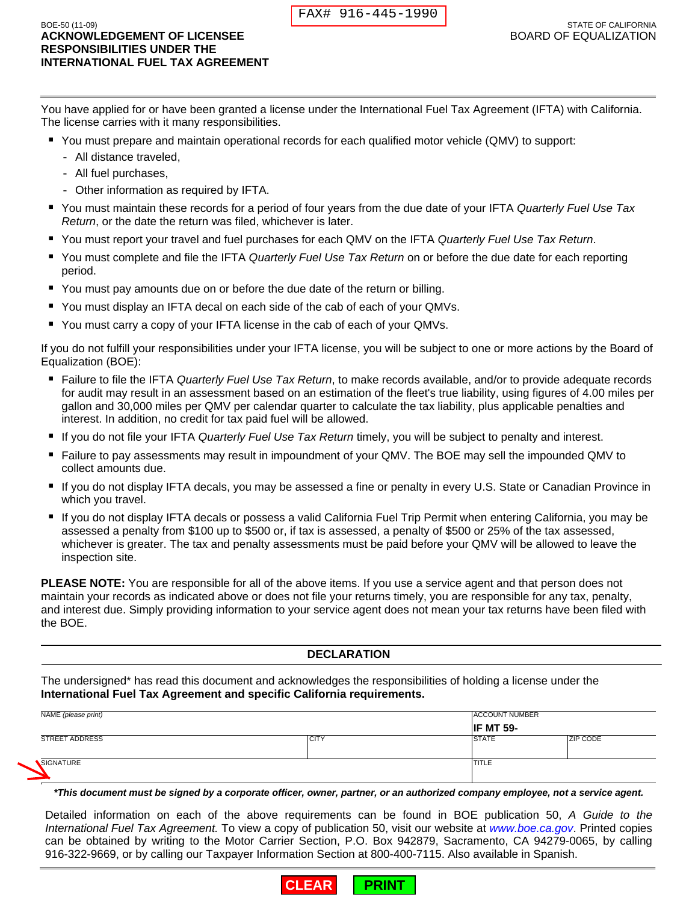| FAX# 916-445-1990 |
|-------------------|
|-------------------|

- You must prepare and maintain operational records for each qualified motor vehicle (QMV) to support:
	- All distance traveled,
	- All fuel purchases,
	- Other information as required by IFTA.
- You must maintain these records for a period of four years from the due date of your IFTA *Quarterly Fuel Use Tax Return*, or the date the return was filed, whichever is later.
- You must report your travel and fuel purchases for each QMV on the IFTA *Quarterly Fuel Use Tax Return*.
- You must complete and file the IFTA *Quarterly Fuel Use Tax Return* on or before the due date for each reporting period.
- You must pay amounts due on or before the due date of the return or billing.
- You must display an IFTA decal on each side of the cab of each of your QMVs.
- You must carry a copy of your IFTA license in the cab of each of your QMVs.

- Failure to file the IFTA *Quarterly Fuel Use Tax Return*, to make records available, and/or to provide adequate records for audit may result in an assessment based on an estimation of the fleet's true liability, using figures of 4.00 miles per gallon and 30,000 miles per QMV per calendar quarter to calculate the tax liability, plus applicable penalties and interest. In addition, no credit for tax paid fuel will be allowed.
- If you do not file your IFTA *Quarterly Fuel Use Tax Return* timely, you will be subject to penalty and interest.
- Failure to pay assessments may result in impoundment of your QMV. The BOE may sell the impounded QMV to collect amounts due.
- If you do not display IFTA decals, you may be assessed a fine or penalty in every U.S. State or Canadian Province in which you travel.
- If you do not display IFTA decals or possess a valid California Fuel Trip Permit when entering California, you may be assessed a penalty from \$100 up to \$500 or, if tax is assessed, a penalty of \$500 or 25% of the tax assessed, whichever is greater. The tax and penalty assessments must be paid before your QMV will be allowed to leave the inspection site.

#### **DECLARATION**

|                                                                                                                                                                                                                                                                                                                                                                                                                                                                     |              | FAX# 916-445-1990  |                                                            |
|---------------------------------------------------------------------------------------------------------------------------------------------------------------------------------------------------------------------------------------------------------------------------------------------------------------------------------------------------------------------------------------------------------------------------------------------------------------------|--------------|--------------------|------------------------------------------------------------|
| BOE-50 (11-09)<br><b>ACKNOWLEDGEMENT OF LICENSEE</b><br><b>RESPONSIBILITIES UNDER THE</b><br><b>INTERNATIONAL FUEL TAX AGREEMENT</b>                                                                                                                                                                                                                                                                                                                                |              |                    | <b>STATE OF CALIFORNIA</b><br><b>BOARD OF EQUALIZATION</b> |
| You have applied for or have been granted a license under the International Fuel Tax Agreement (IFTA) with California.<br>The license carries with it many responsibilities.                                                                                                                                                                                                                                                                                        |              |                    |                                                            |
| ■ You must prepare and maintain operational records for each qualified motor vehicle (QMV) to support:<br>- All distance traveled,<br>- All fuel purchases,                                                                                                                                                                                                                                                                                                         |              |                    |                                                            |
| - Other information as required by IFTA.<br>You must maintain these records for a period of four years from the due date of your IFTA Quarterly Fuel Use Tax                                                                                                                                                                                                                                                                                                        |              |                    |                                                            |
| Return, or the date the return was filed, whichever is later.                                                                                                                                                                                                                                                                                                                                                                                                       |              |                    |                                                            |
| You must report your travel and fuel purchases for each QMV on the IFTA Quarterly Fuel Use Tax Return.<br>You must complete and file the IFTA Quarterly Fuel Use Tax Return on or before the due date for each reporting<br>period.                                                                                                                                                                                                                                 |              |                    |                                                            |
| ■ You must pay amounts due on or before the due date of the return or billing.                                                                                                                                                                                                                                                                                                                                                                                      |              |                    |                                                            |
| You must display an IFTA decal on each side of the cab of each of your QMVs.<br>ш                                                                                                                                                                                                                                                                                                                                                                                   |              |                    |                                                            |
| You must carry a copy of your IFTA license in the cab of each of your QMVs.                                                                                                                                                                                                                                                                                                                                                                                         |              |                    |                                                            |
| If you do not fulfill your responsibilities under your IFTA license, you will be subject to one or more actions by the Board of<br>Equalization (BOE):                                                                                                                                                                                                                                                                                                              |              |                    |                                                            |
| Failure to file the IFTA Quarterly Fuel Use Tax Return, to make records available, and/or to provide adequate records<br>п<br>for audit may result in an assessment based on an estimation of the fleet's true liability, using figures of 4.00 miles per<br>gallon and 30,000 miles per QMV per calendar quarter to calculate the tax liability, plus applicable penalties and<br>interest. In addition, no credit for tax paid fuel will be allowed.              |              |                    |                                                            |
| If you do not file your IFTA Quarterly Fuel Use Tax Return timely, you will be subject to penalty and interest.<br>ш                                                                                                                                                                                                                                                                                                                                                |              |                    |                                                            |
| Failure to pay assessments may result in impoundment of your QMV. The BOE may sell the impounded QMV to<br>collect amounts due.                                                                                                                                                                                                                                                                                                                                     |              |                    |                                                            |
| If you do not display IFTA decals, you may be assessed a fine or penalty in every U.S. State or Canadian Province in<br>which you travel.                                                                                                                                                                                                                                                                                                                           |              |                    |                                                            |
| " If you do not display IFTA decals or possess a valid California Fuel Trip Permit when entering California, you may be<br>assessed a penalty from \$100 up to \$500 or, if tax is assessed, a penalty of \$500 or 25% of the tax assessed,<br>whichever is greater. The tax and penalty assessments must be paid before your QMV will be allowed to leave the<br>inspection site.                                                                                  |              |                    |                                                            |
| <b>PLEASE NOTE:</b> You are responsible for all of the above items. If you use a service agent and that person does not<br>maintain your records as indicated above or does not file your returns timely, you are responsible for any tax, penalty,<br>and interest due. Simply providing information to your service agent does not mean your tax returns have been filed with<br>the BOE.                                                                         |              |                    |                                                            |
|                                                                                                                                                                                                                                                                                                                                                                                                                                                                     |              | <b>DECLARATION</b> |                                                            |
| The undersigned* has read this document and acknowledges the responsibilities of holding a license under the<br>International Fuel Tax Agreement and specific California requirements.                                                                                                                                                                                                                                                                              |              |                    |                                                            |
| NAME (please print)                                                                                                                                                                                                                                                                                                                                                                                                                                                 |              |                    | <b>ACCOUNT NUMBER</b>                                      |
| <b>STREET ADDRESS</b>                                                                                                                                                                                                                                                                                                                                                                                                                                               | <b>CITY</b>  |                    | <b>IF MT 59-</b><br><b>STATE</b><br>ZIP CODE               |
| SIGNATURE                                                                                                                                                                                                                                                                                                                                                                                                                                                           |              |                    | TITLE                                                      |
| *This document must be signed by a corporate officer, owner, partner, or an authorized company employee, not a service agent.                                                                                                                                                                                                                                                                                                                                       |              |                    |                                                            |
| Detailed information on each of the above requirements can be found in BOE publication 50, A Guide to the<br>International Fuel Tax Agreement. To view a copy of publication 50, visit our website at www.boe.ca.gov. Printed copies<br>can be obtained by writing to the Motor Carrier Section, P.O. Box 942879, Sacramento, CA 94279-0065, by calling<br>916-322-9669, or by calling our Taxpayer Information Section at 800-400-7115. Also available in Spanish. |              |                    |                                                            |
|                                                                                                                                                                                                                                                                                                                                                                                                                                                                     | <b>CLEAR</b> | <b>PRINT</b>       |                                                            |

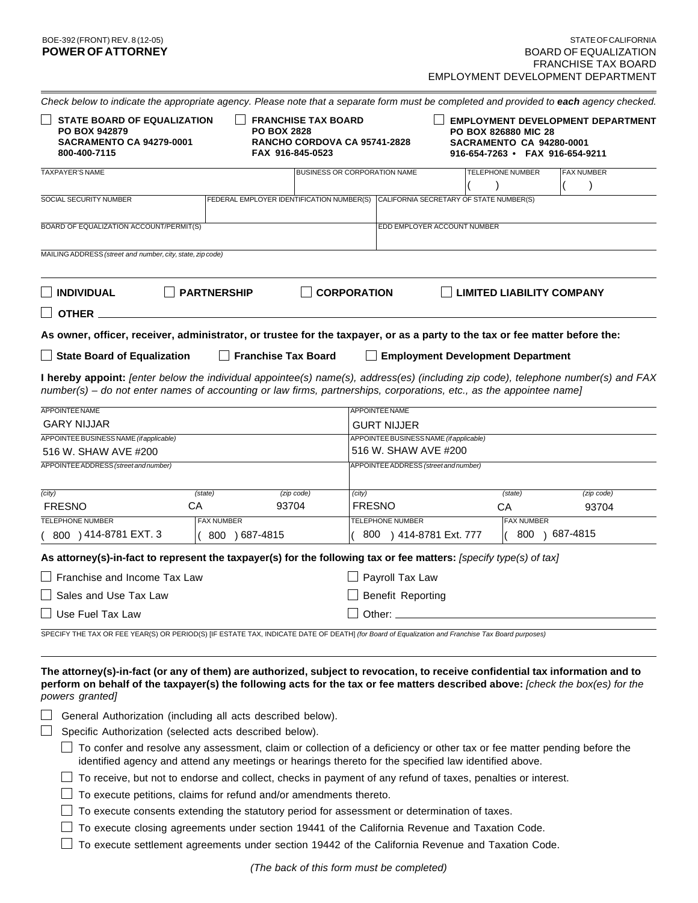| <b>STATE BOARD OF EQUALIZATION</b><br><b>SACRAMENTO CA 94279-0001</b> |                                                             |                                       |                                                                                                                                                                                                                                                                                                                                |                                                                                                                                                                                                        | <b>EMPLOYMENT DEVELOPMENT DEPARTMENT</b>                                                                                                                                                                                                                                                                                                                                                                                                                                                                                                                                                                                                                                                                                                                                                                                                                                                                                                                                                                                                                                                                                                                                                                                                                                                       |  |
|-----------------------------------------------------------------------|-------------------------------------------------------------|---------------------------------------|--------------------------------------------------------------------------------------------------------------------------------------------------------------------------------------------------------------------------------------------------------------------------------------------------------------------------------|--------------------------------------------------------------------------------------------------------------------------------------------------------------------------------------------------------|------------------------------------------------------------------------------------------------------------------------------------------------------------------------------------------------------------------------------------------------------------------------------------------------------------------------------------------------------------------------------------------------------------------------------------------------------------------------------------------------------------------------------------------------------------------------------------------------------------------------------------------------------------------------------------------------------------------------------------------------------------------------------------------------------------------------------------------------------------------------------------------------------------------------------------------------------------------------------------------------------------------------------------------------------------------------------------------------------------------------------------------------------------------------------------------------------------------------------------------------------------------------------------------------|--|
|                                                                       |                                                             |                                       |                                                                                                                                                                                                                                                                                                                                |                                                                                                                                                                                                        | <b>FAX NUMBER</b>                                                                                                                                                                                                                                                                                                                                                                                                                                                                                                                                                                                                                                                                                                                                                                                                                                                                                                                                                                                                                                                                                                                                                                                                                                                                              |  |
|                                                                       |                                                             |                                       |                                                                                                                                                                                                                                                                                                                                |                                                                                                                                                                                                        |                                                                                                                                                                                                                                                                                                                                                                                                                                                                                                                                                                                                                                                                                                                                                                                                                                                                                                                                                                                                                                                                                                                                                                                                                                                                                                |  |
| BOARD OF EQUALIZATION ACCOUNT/PERMIT(S)                               |                                                             |                                       |                                                                                                                                                                                                                                                                                                                                |                                                                                                                                                                                                        |                                                                                                                                                                                                                                                                                                                                                                                                                                                                                                                                                                                                                                                                                                                                                                                                                                                                                                                                                                                                                                                                                                                                                                                                                                                                                                |  |
| MAILING ADDRESS (street and number, city, state, zip code)            |                                                             |                                       |                                                                                                                                                                                                                                                                                                                                |                                                                                                                                                                                                        |                                                                                                                                                                                                                                                                                                                                                                                                                                                                                                                                                                                                                                                                                                                                                                                                                                                                                                                                                                                                                                                                                                                                                                                                                                                                                                |  |
| <b>PARTNERSHIP</b>                                                    |                                                             |                                       |                                                                                                                                                                                                                                                                                                                                |                                                                                                                                                                                                        |                                                                                                                                                                                                                                                                                                                                                                                                                                                                                                                                                                                                                                                                                                                                                                                                                                                                                                                                                                                                                                                                                                                                                                                                                                                                                                |  |
|                                                                       |                                                             |                                       |                                                                                                                                                                                                                                                                                                                                |                                                                                                                                                                                                        |                                                                                                                                                                                                                                                                                                                                                                                                                                                                                                                                                                                                                                                                                                                                                                                                                                                                                                                                                                                                                                                                                                                                                                                                                                                                                                |  |
| $\Box$ State Board of Equalization                                    |                                                             |                                       |                                                                                                                                                                                                                                                                                                                                |                                                                                                                                                                                                        |                                                                                                                                                                                                                                                                                                                                                                                                                                                                                                                                                                                                                                                                                                                                                                                                                                                                                                                                                                                                                                                                                                                                                                                                                                                                                                |  |
|                                                                       |                                                             | APPOINTEE NAME<br><b>GURT NIJJER</b>  |                                                                                                                                                                                                                                                                                                                                |                                                                                                                                                                                                        |                                                                                                                                                                                                                                                                                                                                                                                                                                                                                                                                                                                                                                                                                                                                                                                                                                                                                                                                                                                                                                                                                                                                                                                                                                                                                                |  |
| (state)<br>CA                                                         | (zip code)<br>93704                                         | (city)<br><b>FRESNO</b>               |                                                                                                                                                                                                                                                                                                                                | (state)<br>СA                                                                                                                                                                                          | (zip code)<br>93704                                                                                                                                                                                                                                                                                                                                                                                                                                                                                                                                                                                                                                                                                                                                                                                                                                                                                                                                                                                                                                                                                                                                                                                                                                                                            |  |
|                                                                       |                                                             |                                       |                                                                                                                                                                                                                                                                                                                                |                                                                                                                                                                                                        | 800 ) 687-4815                                                                                                                                                                                                                                                                                                                                                                                                                                                                                                                                                                                                                                                                                                                                                                                                                                                                                                                                                                                                                                                                                                                                                                                                                                                                                 |  |
|                                                                       |                                                             |                                       |                                                                                                                                                                                                                                                                                                                                |                                                                                                                                                                                                        |                                                                                                                                                                                                                                                                                                                                                                                                                                                                                                                                                                                                                                                                                                                                                                                                                                                                                                                                                                                                                                                                                                                                                                                                                                                                                                |  |
|                                                                       |                                                             |                                       |                                                                                                                                                                                                                                                                                                                                |                                                                                                                                                                                                        |                                                                                                                                                                                                                                                                                                                                                                                                                                                                                                                                                                                                                                                                                                                                                                                                                                                                                                                                                                                                                                                                                                                                                                                                                                                                                                |  |
|                                                                       |                                                             |                                       |                                                                                                                                                                                                                                                                                                                                |                                                                                                                                                                                                        |                                                                                                                                                                                                                                                                                                                                                                                                                                                                                                                                                                                                                                                                                                                                                                                                                                                                                                                                                                                                                                                                                                                                                                                                                                                                                                |  |
|                                                                       |                                                             |                                       |                                                                                                                                                                                                                                                                                                                                |                                                                                                                                                                                                        |                                                                                                                                                                                                                                                                                                                                                                                                                                                                                                                                                                                                                                                                                                                                                                                                                                                                                                                                                                                                                                                                                                                                                                                                                                                                                                |  |
|                                                                       |                                                             |                                       |                                                                                                                                                                                                                                                                                                                                |                                                                                                                                                                                                        |                                                                                                                                                                                                                                                                                                                                                                                                                                                                                                                                                                                                                                                                                                                                                                                                                                                                                                                                                                                                                                                                                                                                                                                                                                                                                                |  |
|                                                                       | General Authorization (including all acts described below). |                                       |                                                                                                                                                                                                                                                                                                                                |                                                                                                                                                                                                        |                                                                                                                                                                                                                                                                                                                                                                                                                                                                                                                                                                                                                                                                                                                                                                                                                                                                                                                                                                                                                                                                                                                                                                                                                                                                                                |  |
|                                                                       | <b>FAX NUMBER</b><br>Franchise and Income Tax Law           | <b>PO BOX 2828</b><br>$(800)687-4815$ | Check below to indicate the appropriate agency. Please note that a separate form must be completed and provided to each agency checked.<br><b>FRANCHISE TAX BOARD</b><br>RANCHO CORDOVA CA 95741-2828<br>FAX 916-845-0523<br><b>BUSINESS OR CORPORATION NAME</b><br><b>CORPORATION</b><br><b>Franchise Tax Board</b><br>Other: | APPOINTEE BUSINESS NAME (if applicable)<br>516 W. SHAW AVE #200<br>APPOINTEE ADDRESS (street and number)<br>TELEPHONE NUMBER<br>800 ) 414-8781 Ext. 777<br>Payroll Tax Law<br><b>Benefit Reporting</b> | <b>PO BOX 826880 MIC 28</b><br><b>SACRAMENTO CA 94280-0001</b><br>916-654-7263 · FAX 916-654-9211<br><b>TELEPHONE NUMBER</b><br>FEDERAL EMPLOYER IDENTIFICATION NUMBER(S) CALIFORNIA SECRETARY OF STATE NUMBER(S)<br>EDD EMPLOYER ACCOUNT NUMBER<br><b>LIMITED LIABILITY COMPANY</b><br>As owner, officer, receiver, administrator, or trustee for the taxpayer, or as a party to the tax or fee matter before the:<br><b>Employment Development Department</b><br>I hereby appoint: [enter below the individual appointee(s) name(s), address(es) (including zip code), telephone number(s) and FAX<br>number(s) – do not enter names of accounting or law firms, partnerships, corporations, etc., as the appointee name]<br><b>FAX NUMBER</b><br>As attorney(s)-in-fact to represent the taxpayer(s) for the following tax or fee matters: [specify type(s) of tax]<br>SPECIFY THE TAX OR FEE YEAR(S) OR PERIOD(S) [IF ESTATE TAX, INDICATE DATE OF DEATH] (for Board of Equalization and Franchise Tax Board purposes)<br>The attorney(s)-in-fact (or any of them) are authorized, subject to revocation, to receive confidential tax information and to<br>perform on behalf of the taxpayer(s) the following acts for the tax or fee matters described above: [check the box(es) for the |  |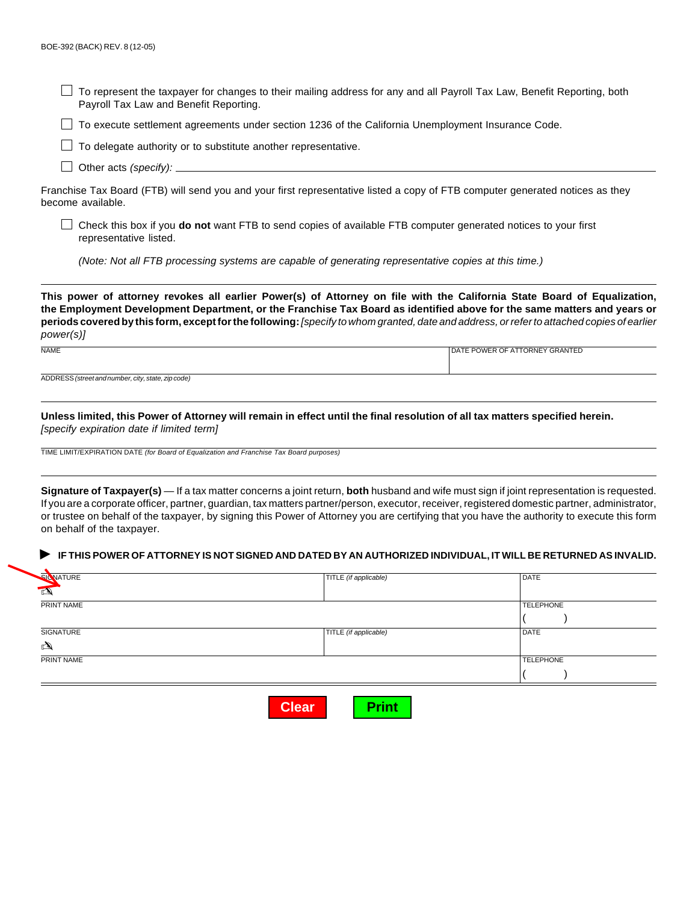$\Box$  To represent the taxpayer for changes to their mailing address for any and all Payroll Tax Law, Benefit Reporting, both Payroll Tax Law and Benefit Reporting.

To execute settlement agreements under section 1236 of the California Unemployment Insurance Code.

 $\Box$  To delegate authority or to substitute another representative.

 $\Box$  Other acts (specify):  $\Box$ 

Franchise Tax Board (FTB) will send you and your first representative listed a copy of FTB computer generated notices as they become available.

Check this box if you **do not** want FTB to send copies of available FTB computer generated notices to your first representative listed.

(Note: Not all FTB processing systems are capable of generating representative copies at this time.)

**This power of attorney revokes all earlier Power(s) of Attorney on file with the California State Board of Equalization, the Employment Development Department, or the Franchise Tax Board as identified above for the same matters and years or periods covered by this form, except for the following:** [specify to whom granted, date and address, or refer to attached copies of earlier power(s)]

NAME DATE POWER OF ATTORNEY GRANTED AND A SERIES AND THE POWER OF ATTORNEY GRANTED ADDRESS (street and number, city, state, zip code)

**Unless limited, this Power of Attorney will remain in effect until the final resolution of all tax matters specified herein.** [specify expiration date if limited term]

TIME LIMIT/EXPIRATION DATE (for Board of Equalization and Franchise Tax Board purposes)

**Signature of Taxpayer(s)** — If a tax matter concerns a joint return, **both** husband and wife must sign if joint representation is requested. If you are a corporate officer, partner, guardian, tax matters partner/person, executor, receiver, registered domestic partner, administrator, or trustee on behalf of the taxpayer, by signing this Power of Attorney you are certifying that you have the authority to execute this form on behalf of the taxpayer.

#### **IF THIS POWER OF ATTORNEY IS NOT SIGNED AND DATED BY AN AUTHORIZED INDIVIDUAL, IT WILL BE RETURNED AS INVALID.** ▲

|   | SICNATURE  | TITLE (if applicable) | DATE             |  |
|---|------------|-----------------------|------------------|--|
| 画 |            |                       |                  |  |
|   | PRINT NAME |                       | <b>TELEPHONE</b> |  |
|   |            |                       |                  |  |
|   | SIGNATURE  | TITLE (if applicable) | <b>DATE</b>      |  |
| ¢ |            |                       |                  |  |
|   | PRINT NAME |                       | <b>TELEPHONE</b> |  |
|   |            |                       |                  |  |
|   |            |                       |                  |  |